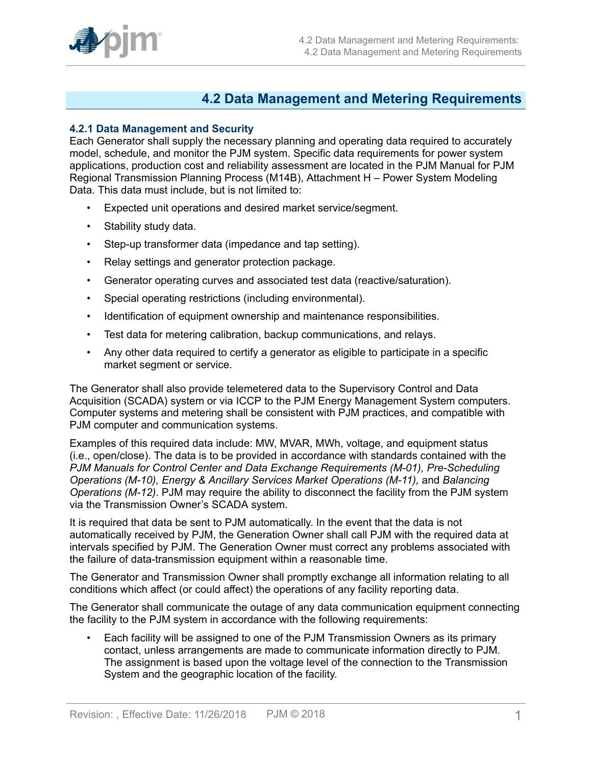# **4.2 Data Management and Metering Requirements**

## **4.2.1 Data Management and Security**

Each Generator shall supply the necessary planning and operating data required to accurately model, schedule, and monitor the PJM system. Specific data requirements for power system applications, production cost and reliability assessment are located in the PJM Manual for PJM Regional Transmission Planning Process (M14B), Attachment H – Power System Modeling Data. This data must include, but is not limited to:

- Expected unit operations and desired market service/segment.
- Stability study data.
- Step-up transformer data (impedance and tap setting).
- Relay settings and generator protection package.
- Generator operating curves and associated test data (reactive/saturation).
- Special operating restrictions (including environmental).
- Identification of equipment ownership and maintenance responsibilities.
- Test data for metering calibration, backup communications, and relays.
- Any other data required to certify a generator as eligible to participate in a specific market segment or service.

The Generator shall also provide telemetered data to the Supervisory Control and Data Acquisition (SCADA) system or via ICCP to the PJM Energy Management System computers. Computer systems and metering shall be consistent with PJM practices, and compatible with PJM computer and communication systems.

Examples of this required data include: MW, MVAR, MWh, voltage, and equipment status (i.e., open/close). The data is to be provided in accordance with standards contained with the *PJM Manuals for Control Center and Data Exchange Requirements (M-01), Pre-Scheduling Operations (M-10), Energy & Ancillary Services Market Operations (M-11),* and *Balancing Operations (M-12)*. PJM may require the ability to disconnect the facility from the PJM system via the Transmission Owner's SCADA system.

It is required that data be sent to PJM automatically. In the event that the data is not automatically received by PJM, the Generation Owner shall call PJM with the required data at intervals specified by PJM. The Generation Owner must correct any problems associated with the failure of data-transmission equipment within a reasonable time.

The Generator and Transmission Owner shall promptly exchange all information relating to all conditions which affect (or could affect) the operations of any facility reporting data.

The Generator shall communicate the outage of any data communication equipment connecting the facility to the PJM system in accordance with the following requirements:

• Each facility will be assigned to one of the PJM Transmission Owners as its primary contact, unless arrangements are made to communicate information directly to PJM. The assignment is based upon the voltage level of the connection to the Transmission System and the geographic location of the facility.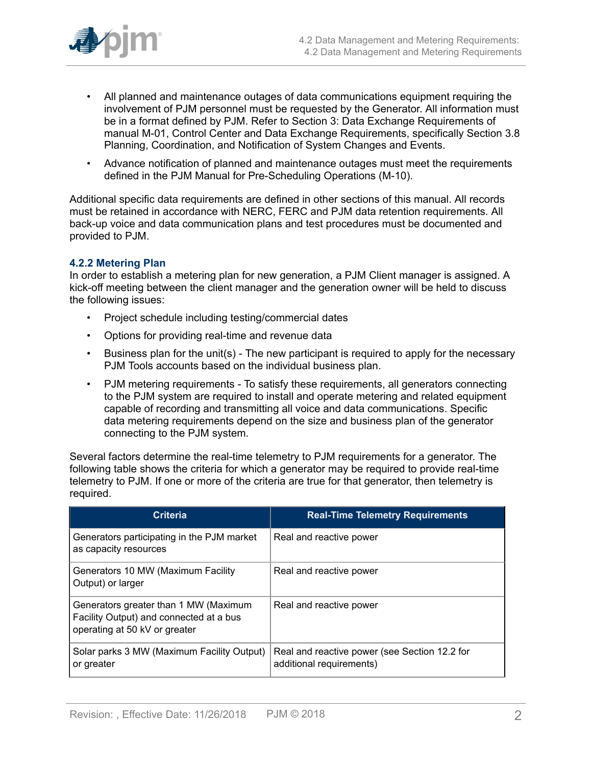

- All planned and maintenance outages of data communications equipment requiring the involvement of PJM personnel must be requested by the Generator. All information must be in a format defined by PJM. Refer to Section 3: Data Exchange Requirements of manual M-01, Control Center and Data Exchange Requirements, specifically Section 3.8 Planning, Coordination, and Notification of System Changes and Events.
- Advance notification of planned and maintenance outages must meet the requirements defined in the PJM Manual for Pre-Scheduling Operations (M-10).

Additional specific data requirements are defined in other sections of this manual. All records must be retained in accordance with NERC, FERC and PJM data retention requirements. All back-up voice and data communication plans and test procedures must be documented and provided to PJM.

## **4.2.2 Metering Plan**

In order to establish a metering plan for new generation, a PJM Client manager is assigned. A kick-off meeting between the client manager and the generation owner will be held to discuss the following issues:

- Project schedule including testing/commercial dates
- Options for providing real-time and revenue data
- Business plan for the unit(s) The new participant is required to apply for the necessary PJM Tools accounts based on the individual business plan.
- PJM metering requirements To satisfy these requirements, all generators connecting to the PJM system are required to install and operate metering and related equipment capable of recording and transmitting all voice and data communications. Specific data metering requirements depend on the size and business plan of the generator connecting to the PJM system.

Several factors determine the real-time telemetry to PJM requirements for a generator. The following table shows the criteria for which a generator may be required to provide real-time telemetry to PJM. If one or more of the criteria are true for that generator, then telemetry is required.

| <b>Criteria</b>                                                                                                   | <b>Real-Time Telemetry Requirements</b>                                   |
|-------------------------------------------------------------------------------------------------------------------|---------------------------------------------------------------------------|
| Generators participating in the PJM market<br>as capacity resources                                               | Real and reactive power                                                   |
| Generators 10 MW (Maximum Facility<br>Output) or larger                                                           | Real and reactive power                                                   |
| Generators greater than 1 MW (Maximum<br>Facility Output) and connected at a bus<br>operating at 50 kV or greater | Real and reactive power                                                   |
| Solar parks 3 MW (Maximum Facility Output)<br>or greater                                                          | Real and reactive power (see Section 12.2 for<br>additional requirements) |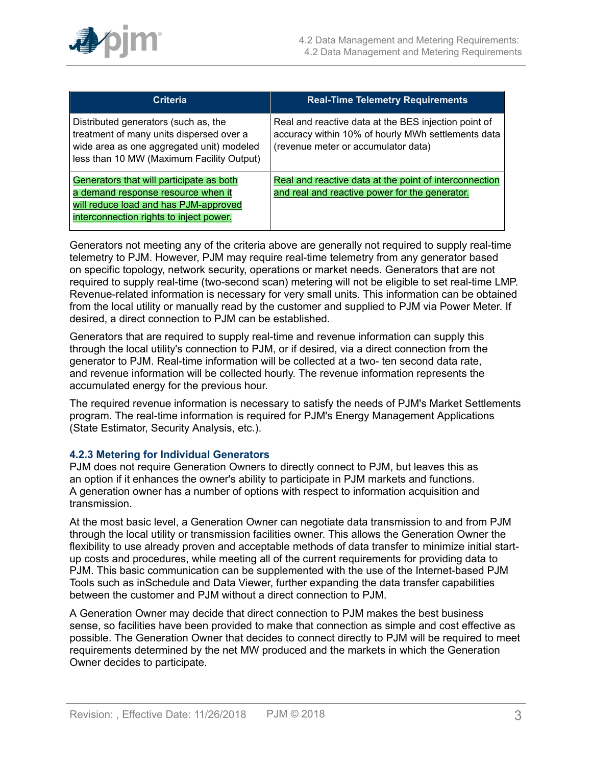

| <b>Criteria</b>                                                                                                                                                            | <b>Real-Time Telemetry Requirements</b>                                                                                                           |
|----------------------------------------------------------------------------------------------------------------------------------------------------------------------------|---------------------------------------------------------------------------------------------------------------------------------------------------|
| Distributed generators (such as, the<br>treatment of many units dispersed over a<br>wide area as one aggregated unit) modeled<br>less than 10 MW (Maximum Facility Output) | Real and reactive data at the BES injection point of<br>accuracy within 10% of hourly MWh settlements data<br>(revenue meter or accumulator data) |
| Generators that will participate as both<br>a demand response resource when it<br>will reduce load and has PJM-approved<br>interconnection rights to inject power.         | Real and reactive data at the point of interconnection<br>and real and reactive power for the generator.                                          |

Generators not meeting any of the criteria above are generally not required to supply real-time telemetry to PJM. However, PJM may require real-time telemetry from any generator based on specific topology, network security, operations or market needs. Generators that are not required to supply real-time (two-second scan) metering will not be eligible to set real-time LMP. Revenue-related information is necessary for very small units. This information can be obtained from the local utility or manually read by the customer and supplied to PJM via Power Meter. If desired, a direct connection to PJM can be established.

Generators that are required to supply real-time and revenue information can supply this through the local utility's connection to PJM, or if desired, via a direct connection from the generator to PJM. Real-time information will be collected at a two- ten second data rate, and revenue information will be collected hourly. The revenue information represents the accumulated energy for the previous hour.

The required revenue information is necessary to satisfy the needs of PJM's Market Settlements program. The real-time information is required for PJM's Energy Management Applications (State Estimator, Security Analysis, etc.).

## **4.2.3 Metering for Individual Generators**

PJM does not require Generation Owners to directly connect to PJM, but leaves this as an option if it enhances the owner's ability to participate in PJM markets and functions. A generation owner has a number of options with respect to information acquisition and transmission.

At the most basic level, a Generation Owner can negotiate data transmission to and from PJM through the local utility or transmission facilities owner. This allows the Generation Owner the flexibility to use already proven and acceptable methods of data transfer to minimize initial startup costs and procedures, while meeting all of the current requirements for providing data to PJM. This basic communication can be supplemented with the use of the Internet-based PJM Tools such as inSchedule and Data Viewer, further expanding the data transfer capabilities between the customer and PJM without a direct connection to PJM.

A Generation Owner may decide that direct connection to PJM makes the best business sense, so facilities have been provided to make that connection as simple and cost effective as possible. The Generation Owner that decides to connect directly to PJM will be required to meet requirements determined by the net MW produced and the markets in which the Generation Owner decides to participate.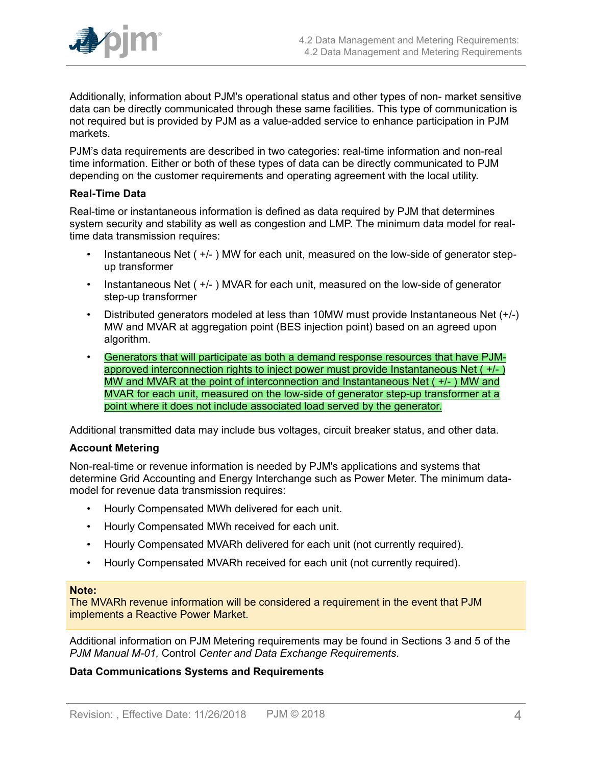

Additionally, information about PJM's operational status and other types of non- market sensitive data can be directly communicated through these same facilities. This type of communication is not required but is provided by PJM as a value-added service to enhance participation in PJM markets.

PJM's data requirements are described in two categories: real-time information and non-real time information. Either or both of these types of data can be directly communicated to PJM depending on the customer requirements and operating agreement with the local utility.

### **Real-Time Data**

Real-time or instantaneous information is defined as data required by PJM that determines system security and stability as well as congestion and LMP. The minimum data model for realtime data transmission requires:

- Instantaneous Net ( +/- ) MW for each unit, measured on the low-side of generator stepup transformer
- Instantaneous Net ( +/- ) MVAR for each unit, measured on the low-side of generator step-up transformer
- Distributed generators modeled at less than 10MW must provide Instantaneous Net (+/-) MW and MVAR at aggregation point (BES injection point) based on an agreed upon algorithm.
- Generators that will participate as both a demand response resources that have PJMapproved interconnection rights to inject power must provide Instantaneous Net ( +/- ) MW and MVAR at the point of interconnection and Instantaneous Net ( +/- ) MW and MVAR for each unit, measured on the low-side of generator step-up transformer at a point where it does not include associated load served by the generator.

Additional transmitted data may include bus voltages, circuit breaker status, and other data.

## **Account Metering**

Non-real-time or revenue information is needed by PJM's applications and systems that determine Grid Accounting and Energy Interchange such as Power Meter. The minimum datamodel for revenue data transmission requires:

- Hourly Compensated MWh delivered for each unit.
- Hourly Compensated MWh received for each unit.
- Hourly Compensated MVARh delivered for each unit (not currently required).
- Hourly Compensated MVARh received for each unit (not currently required).

#### **Note:**

The MVARh revenue information will be considered a requirement in the event that PJM implements a Reactive Power Market.

Additional information on PJM Metering requirements may be found in Sections 3 and 5 of the *PJM Manual M-01,* Control *Center and Data Exchange Requirements*.

## **Data Communications Systems and Requirements**